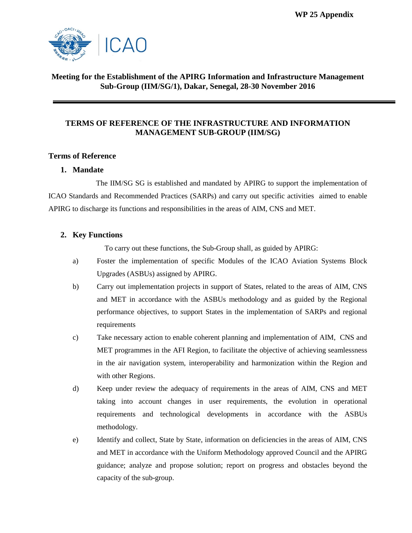**WP 25 Appendix** 



## **Meeting for the Establishment of the APIRG Information and Infrastructure Management Sub-Group (IIM/SG/1), Dakar, Senegal, 28-30 November 2016**

## **TERMS OF REFERENCE OF THE INFRASTRUCTURE AND INFORMATION MANAGEMENT SUB-GROUP (IIM/SG)**

## **Terms of Reference**

## **1. Mandate**

The IIM/SG SG is established and mandated by APIRG to support the implementation of ICAO Standards and Recommended Practices (SARPs) and carry out specific activities aimed to enable APIRG to discharge its functions and responsibilities in the areas of AIM, CNS and MET.

## **2. Key Functions**

To carry out these functions, the Sub-Group shall, as guided by APIRG:

- a) Foster the implementation of specific Modules of the ICAO Aviation Systems Block Upgrades (ASBUs) assigned by APIRG.
- b) Carry out implementation projects in support of States, related to the areas of AIM, CNS and MET in accordance with the ASBUs methodology and as guided by the Regional performance objectives, to support States in the implementation of SARPs and regional requirements
- c) Take necessary action to enable coherent planning and implementation of AIM, CNS and MET programmes in the AFI Region, to facilitate the objective of achieving seamlessness in the air navigation system, interoperability and harmonization within the Region and with other Regions.
- d) Keep under review the adequacy of requirements in the areas of AIM, CNS and MET taking into account changes in user requirements, the evolution in operational requirements and technological developments in accordance with the ASBUs methodology.
- e) Identify and collect, State by State, information on deficiencies in the areas of AIM, CNS and MET in accordance with the Uniform Methodology approved Council and the APIRG guidance; analyze and propose solution; report on progress and obstacles beyond the capacity of the sub-group.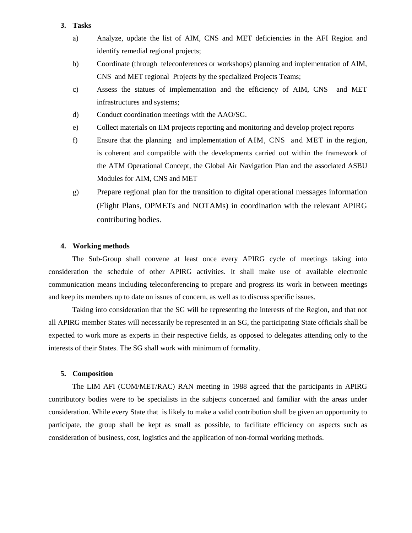#### **3. Tasks**

- a) Analyze, update the list of AIM, CNS and MET deficiencies in the AFI Region and identify remedial regional projects;
- b) Coordinate (through teleconferences or workshops) planning and implementation of AIM, CNS and MET regional Projects by the specialized Projects Teams;
- c) Assess the statues of implementation and the efficiency of AIM, CNS and MET infrastructures and systems;
- d) Conduct coordination meetings with the AAO/SG.
- e) Collect materials on IIM projects reporting and monitoring and develop project reports
- f) Ensure that the planning and implementation of AIM, CNS and MET in the region, is coherent and compatible with the developments carried out within the framework of the ATM Operational Concept, the Global Air Navigation Plan and the associated ASBU Modules for AIM, CNS and MET
- g) Prepare regional plan for the transition to digital operational messages information (Flight Plans, OPMETs and NOTAMs) in coordination with the relevant APIRG contributing bodies.

#### **4. Working methods**

The Sub-Group shall convene at least once every APIRG cycle of meetings taking into consideration the schedule of other APIRG activities. It shall make use of available electronic communication means including teleconferencing to prepare and progress its work in between meetings and keep its members up to date on issues of concern, as well as to discuss specific issues.

Taking into consideration that the SG will be representing the interests of the Region, and that not all APIRG member States will necessarily be represented in an SG, the participating State officials shall be expected to work more as experts in their respective fields, as opposed to delegates attending only to the interests of their States. The SG shall work with minimum of formality.

#### **5. Composition**

The LIM AFI (COM/MET/RAC) RAN meeting in 1988 agreed that the participants in APIRG contributory bodies were to be specialists in the subjects concerned and familiar with the areas under consideration. While every State that is likely to make a valid contribution shall be given an opportunity to participate, the group shall be kept as small as possible, to facilitate efficiency on aspects such as consideration of business, cost, logistics and the application of non-formal working methods.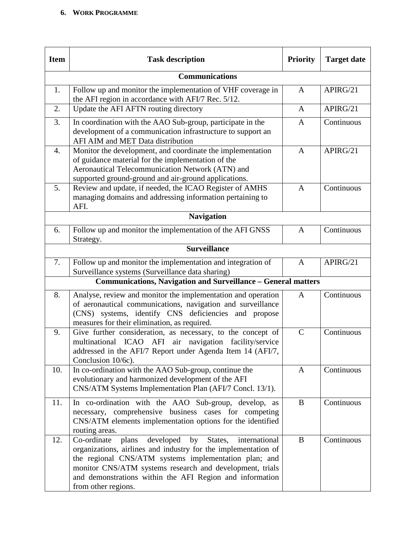# **6. WORK PROGRAMME**

| <b>Item</b> | <b>Task description</b>                                                                                                                                                                                                                                                                                                                       | <b>Priority</b> | <b>Target date</b> |
|-------------|-----------------------------------------------------------------------------------------------------------------------------------------------------------------------------------------------------------------------------------------------------------------------------------------------------------------------------------------------|-----------------|--------------------|
|             | <b>Communications</b>                                                                                                                                                                                                                                                                                                                         |                 |                    |
| 1.          | Follow up and monitor the implementation of VHF coverage in<br>the AFI region in accordance with AFI/7 Rec. 5/12.                                                                                                                                                                                                                             | $\mathbf{A}$    | APIRG/21           |
| 2.          | Update the AFI AFTN routing directory                                                                                                                                                                                                                                                                                                         | A               | APIRG/21           |
| 3.          | In coordination with the AAO Sub-group, participate in the<br>development of a communication infrastructure to support an<br>AFI AIM and MET Data distribution                                                                                                                                                                                | A               | Continuous         |
| 4.          | Monitor the development, and coordinate the implementation<br>of guidance material for the implementation of the<br>Aeronautical Telecommunication Network (ATN) and<br>supported ground-ground and air-ground applications.                                                                                                                  | $\mathbf{A}$    | APIRG/21           |
| 5.          | Review and update, if needed, the ICAO Register of AMHS<br>managing domains and addressing information pertaining to<br>AFI.                                                                                                                                                                                                                  | $\mathbf{A}$    | Continuous         |
|             | <b>Navigation</b>                                                                                                                                                                                                                                                                                                                             |                 |                    |
| 6.          | Follow up and monitor the implementation of the AFI GNSS<br>Strategy.                                                                                                                                                                                                                                                                         | A               | Continuous         |
|             | <b>Surveillance</b>                                                                                                                                                                                                                                                                                                                           |                 |                    |
| 7.          | Follow up and monitor the implementation and integration of<br>Surveillance systems (Surveillance data sharing)                                                                                                                                                                                                                               | $\mathbf{A}$    | APIRG/21           |
|             | <b>Communications, Navigation and Surveillance - General matters</b>                                                                                                                                                                                                                                                                          |                 |                    |
| 8.          | Analyse, review and monitor the implementation and operation<br>of aeronautical communications, navigation and surveillance<br>(CNS) systems, identify CNS deficiencies and propose<br>measures for their elimination, as required.                                                                                                           | $\mathsf{A}$    | Continuous         |
| 9.          | Give further consideration, as necessary, to the concept of<br>multinational ICAO AFI air navigation facility/service<br>addressed in the AFI/7 Report under Agenda Item 14 (AFI/7,<br>Conclusion 10/6c).                                                                                                                                     | $\mathsf{C}$    | Continuous         |
| 10.         | In co-ordination with the AAO Sub-group, continue the<br>evolutionary and harmonized development of the AFI<br>CNS/ATM Systems Implementation Plan (AFI/7 Concl. 13/1).                                                                                                                                                                       | A               | Continuous         |
| 11.         | In co-ordination with the AAO Sub-group, develop, as<br>necessary, comprehensive business cases for competing<br>CNS/ATM elements implementation options for the identified<br>routing areas.                                                                                                                                                 | B               | Continuous         |
| 12.         | developed<br>plans<br>States,<br>international<br>Co-ordinate<br>by<br>organizations, airlines and industry for the implementation of<br>the regional CNS/ATM systems implementation plan; and<br>monitor CNS/ATM systems research and development, trials<br>and demonstrations within the AFI Region and information<br>from other regions. | B               | Continuous         |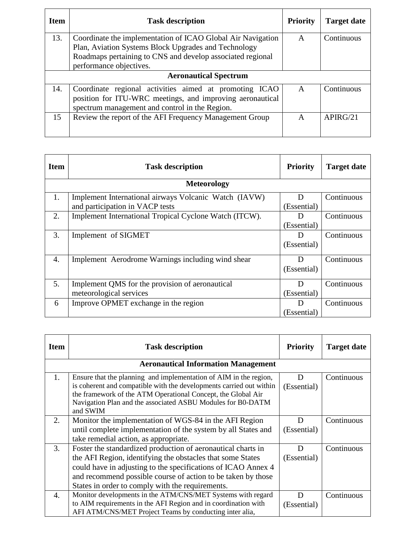| <b>Item</b>                  | <b>Task description</b>                                     | <b>Priority</b> | <b>Target date</b> |
|------------------------------|-------------------------------------------------------------|-----------------|--------------------|
| 13.                          | Coordinate the implementation of ICAO Global Air Navigation | A               | Continuous         |
|                              | Plan, Aviation Systems Block Upgrades and Technology        |                 |                    |
|                              | Roadmaps pertaining to CNS and develop associated regional  |                 |                    |
|                              | performance objectives.                                     |                 |                    |
| <b>Aeronautical Spectrum</b> |                                                             |                 |                    |
| 14.                          | Coordinate regional activities aimed at promoting ICAO      | $\mathbf{A}$    | Continuous         |
|                              | position for ITU-WRC meetings, and improving aeronautical   |                 |                    |
|                              | spectrum management and control in the Region.              |                 |                    |
| 15                           | Review the report of the AFI Frequency Management Group     | A               | APIRG/21           |
|                              |                                                             |                 |                    |

| <b>Item</b>        | <b>Task description</b>                                | <b>Priority</b> | <b>Target date</b> |
|--------------------|--------------------------------------------------------|-----------------|--------------------|
| <b>Meteorology</b> |                                                        |                 |                    |
| 1.                 | Implement International airways Volcanic Watch (IAVW)  | D               | Continuous         |
|                    | and participation in VACP tests                        | (Essential)     |                    |
| 2.                 | Implement International Tropical Cyclone Watch (ITCW). | D               | Continuous         |
|                    |                                                        | (Essential)     |                    |
| 3.                 | Implement of SIGMET                                    | D               | Continuous         |
|                    |                                                        | (Essential)     |                    |
| 4.                 | Implement Aerodrome Warnings including wind shear      | D               | Continuous         |
|                    |                                                        | (Essential)     |                    |
| 5.                 | Implement QMS for the provision of aeronautical        | D               | Continuous         |
|                    | meteorological services                                | (Essential)     |                    |
| 6                  | Improve OPMET exchange in the region                   | D               | Continuous         |
|                    |                                                        | (Essential)     |                    |

| <b>Item</b> | <b>Task description</b>                                                                                                                                                                                                                                                                                         | <b>Priority</b>  | <b>Target date</b> |  |
|-------------|-----------------------------------------------------------------------------------------------------------------------------------------------------------------------------------------------------------------------------------------------------------------------------------------------------------------|------------------|--------------------|--|
|             | <b>Aeronautical Information Management</b>                                                                                                                                                                                                                                                                      |                  |                    |  |
| 1.          | Ensure that the planning and implementation of AIM in the region,<br>is coherent and compatible with the developments carried out within<br>the framework of the ATM Operational Concept, the Global Air<br>Navigation Plan and the associated ASBU Modules for B0-DATM<br>and SWIM                             | Ð<br>(Essential) | Continuous         |  |
| 2.          | Monitor the implementation of WGS-84 in the AFI Region<br>until complete implementation of the system by all States and<br>take remedial action, as appropriate.                                                                                                                                                | D<br>(Essential) | Continuous         |  |
| 3.          | Foster the standardized production of aeronautical charts in<br>the AFI Region, identifying the obstacles that some States<br>could have in adjusting to the specifications of ICAO Annex 4<br>and recommend possible course of action to be taken by those<br>States in order to comply with the requirements. | D<br>(Essential) | Continuous         |  |
| 4.          | Monitor developments in the ATM/CNS/MET Systems with regard<br>to AIM requirements in the AFI Region and in coordination with<br>AFI ATM/CNS/MET Project Teams by conducting inter alia,                                                                                                                        | D<br>(Essential) | Continuous         |  |